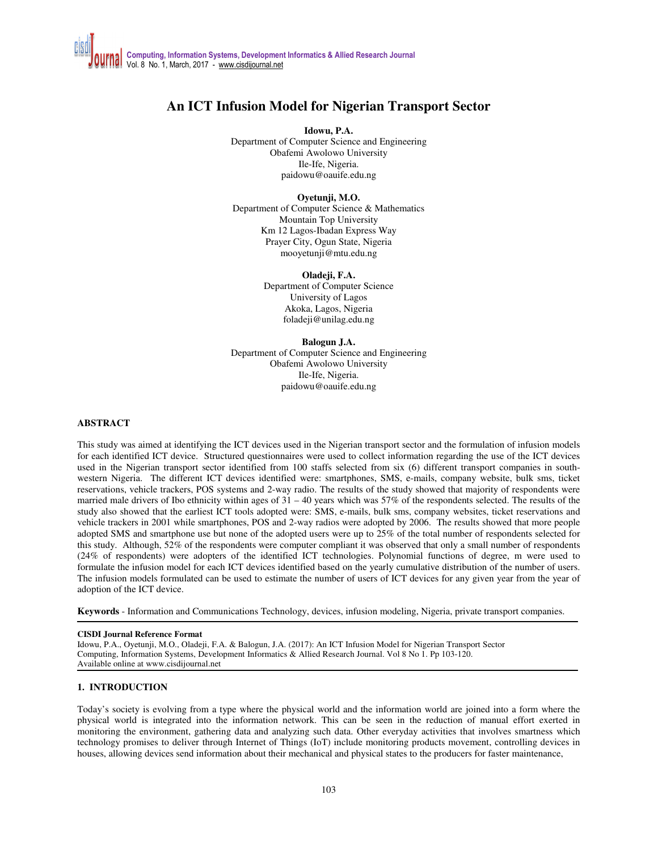# **An ICT Infusion Model for Nigerian Transport Sector**

**Idowu, P.A.** 

Department of Computer Science and Engineering Obafemi Awolowo University Ile-Ife, Nigeria. paidowu@oauife.edu.ng

**Oyetunji, M.O.** 

Department of Computer Science & Mathematics Mountain Top University Km 12 Lagos-Ibadan Express Way Prayer City, Ogun State, Nigeria mooyetunji@mtu.edu.ng

#### **Oladeji, F.A.**

Department of Computer Science University of Lagos Akoka, Lagos, Nigeria foladeji@unilag.edu.ng

**Balogun J.A.** 

Department of Computer Science and Engineering Obafemi Awolowo University Ile-Ife, Nigeria. paidowu@oauife.edu.ng

#### **ABSTRACT**

This study was aimed at identifying the ICT devices used in the Nigerian transport sector and the formulation of infusion models for each identified ICT device. Structured questionnaires were used to collect information regarding the use of the ICT devices used in the Nigerian transport sector identified from 100 staffs selected from six (6) different transport companies in southwestern Nigeria. The different ICT devices identified were: smartphones, SMS, e-mails, company website, bulk sms, ticket reservations, vehicle trackers, POS systems and 2-way radio. The results of the study showed that majority of respondents were married male drivers of Ibo ethnicity within ages of  $31 - 40$  years which was  $57\%$  of the respondents selected. The results of the study also showed that the earliest ICT tools adopted were: SMS, e-mails, bulk sms, company websites, ticket reservations and vehicle trackers in 2001 while smartphones, POS and 2-way radios were adopted by 2006. The results showed that more people adopted SMS and smartphone use but none of the adopted users were up to 25% of the total number of respondents selected for this study. Although, 52% of the respondents were computer compliant it was observed that only a small number of respondents (24% of respondents) were adopters of the identified ICT technologies. Polynomial functions of degree, m were used to formulate the infusion model for each ICT devices identified based on the yearly cumulative distribution of the number of users. The infusion models formulated can be used to estimate the number of users of ICT devices for any given year from the year of adoption of the ICT device.

**Keywords** - Information and Communications Technology, devices, infusion modeling, Nigeria, private transport companies.

#### **CISDI Journal Reference Format**

Idowu, P.A., Oyetunji, M.O., Oladeji, F.A. & Balogun, J.A. (2017): An ICT Infusion Model for Nigerian Transport Sector Computing, Information Systems, Development Informatics & Allied Research Journal. Vol 8 No 1. Pp 103-120. Available online at www.cisdijournal.net

#### **1. INTRODUCTION**

Today's society is evolving from a type where the physical world and the information world are joined into a form where the physical world is integrated into the information network. This can be seen in the reduction of manual effort exerted in monitoring the environment, gathering data and analyzing such data. Other everyday activities that involves smartness which technology promises to deliver through Internet of Things (IoT) include monitoring products movement, controlling devices in houses, allowing devices send information about their mechanical and physical states to the producers for faster maintenance,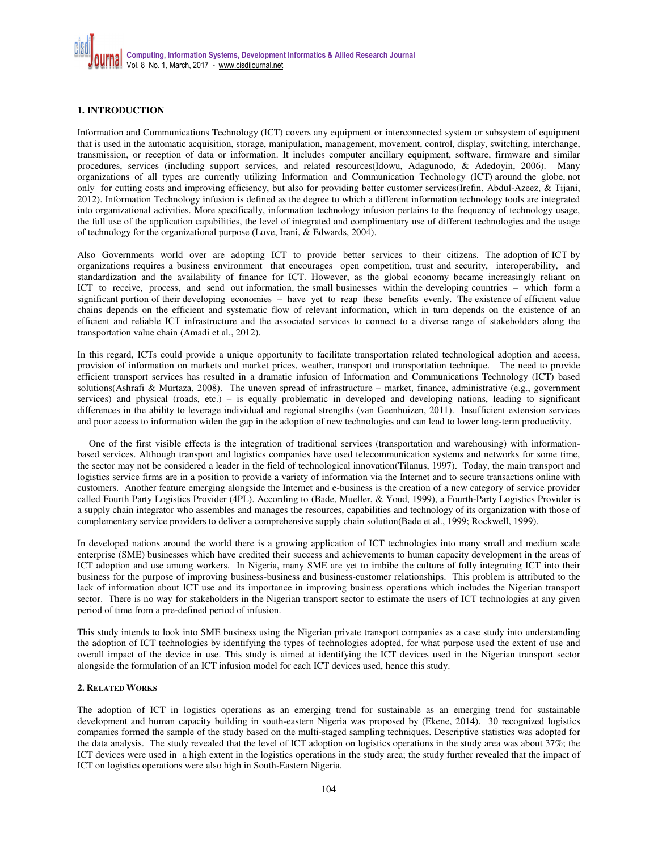### **1. INTRODUCTION**

Information and Communications Technology (ICT) covers any equipment or interconnected system or subsystem of equipment that is used in the automatic acquisition, storage, manipulation, management, movement, control, display, switching, interchange, transmission, or reception of data or information. It includes computer ancillary equipment, software, firmware and similar procedures, services (including support services, and related resources(Idowu, Adagunodo, & Adedoyin, 2006). Many organizations of all types are currently utilizing Information and Communication Technology (ICT) around the globe, not only for cutting costs and improving efficiency, but also for providing better customer services(Irefin, Abdul-Azeez, & Tijani, 2012). Information Technology infusion is defined as the degree to which a different information technology tools are integrated into organizational activities. More specifically, information technology infusion pertains to the frequency of technology usage, the full use of the application capabilities, the level of integrated and complimentary use of different technologies and the usage of technology for the organizational purpose (Love, Irani, & Edwards, 2004).

Also Governments world over are adopting ICT to provide better services to their citizens. The adoption of ICT by organizations requires a business environment that encourages open competition, trust and security, interoperability, and standardization and the availability of finance for ICT. However, as the global economy became increasingly reliant on ICT to receive, process, and send out information, the small businesses within the developing countries – which form a significant portion of their developing economies – have yet to reap these benefits evenly. The existence of efficient value chains depends on the efficient and systematic flow of relevant information, which in turn depends on the existence of an efficient and reliable ICT infrastructure and the associated services to connect to a diverse range of stakeholders along the transportation value chain (Amadi et al., 2012).

In this regard, ICTs could provide a unique opportunity to facilitate transportation related technological adoption and access, provision of information on markets and market prices, weather, transport and transportation technique. The need to provide efficient transport services has resulted in a dramatic infusion of Information and Communications Technology (ICT) based solutions(Ashrafi & Murtaza, 2008). The uneven spread of infrastructure – market, finance, administrative (e.g., government services) and physical (roads, etc.) – is equally problematic in developed and developing nations, leading to significant differences in the ability to leverage individual and regional strengths (van Geenhuizen, 2011). Insufficient extension services and poor access to information widen the gap in the adoption of new technologies and can lead to lower long-term productivity.

One of the first visible effects is the integration of traditional services (transportation and warehousing) with informationbased services. Although transport and logistics companies have used telecommunication systems and networks for some time, the sector may not be considered a leader in the field of technological innovation(Tilanus, 1997). Today, the main transport and logistics service firms are in a position to provide a variety of information via the Internet and to secure transactions online with customers. Another feature emerging alongside the Internet and e-business is the creation of a new category of service provider called Fourth Party Logistics Provider (4PL). According to (Bade, Mueller, & Youd, 1999), a Fourth-Party Logistics Provider is a supply chain integrator who assembles and manages the resources, capabilities and technology of its organization with those of complementary service providers to deliver a comprehensive supply chain solution(Bade et al., 1999; Rockwell, 1999).

In developed nations around the world there is a growing application of ICT technologies into many small and medium scale enterprise (SME) businesses which have credited their success and achievements to human capacity development in the areas of ICT adoption and use among workers. In Nigeria, many SME are yet to imbibe the culture of fully integrating ICT into their business for the purpose of improving business-business and business-customer relationships. This problem is attributed to the lack of information about ICT use and its importance in improving business operations which includes the Nigerian transport sector. There is no way for stakeholders in the Nigerian transport sector to estimate the users of ICT technologies at any given period of time from a pre-defined period of infusion.

This study intends to look into SME business using the Nigerian private transport companies as a case study into understanding the adoption of ICT technologies by identifying the types of technologies adopted, for what purpose used the extent of use and overall impact of the device in use. This study is aimed at identifying the ICT devices used in the Nigerian transport sector alongside the formulation of an ICT infusion model for each ICT devices used, hence this study.

#### **2. RELATED WORKS**

The adoption of ICT in logistics operations as an emerging trend for sustainable as an emerging trend for sustainable development and human capacity building in south-eastern Nigeria was proposed by (Ekene, 2014). 30 recognized logistics companies formed the sample of the study based on the multi-staged sampling techniques. Descriptive statistics was adopted for the data analysis. The study revealed that the level of ICT adoption on logistics operations in the study area was about 37%; the ICT devices were used in a high extent in the logistics operations in the study area; the study further revealed that the impact of ICT on logistics operations were also high in South-Eastern Nigeria.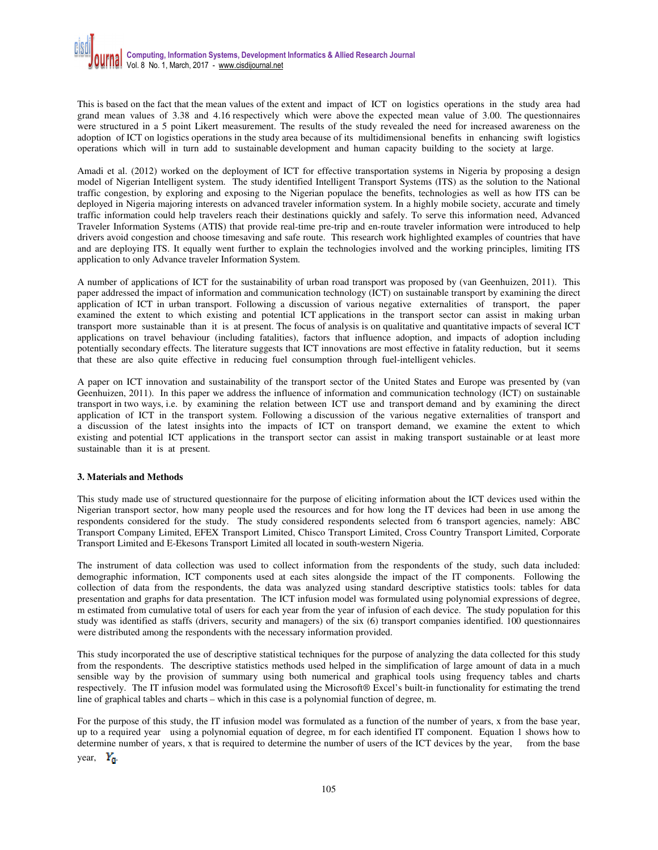This is based on the fact that the mean values of the extent and impact of ICT on logistics operations in the study area had grand mean values of 3.38 and 4.16 respectively which were above the expected mean value of 3.00. The questionnaires were structured in a 5 point Likert measurement. The results of the study revealed the need for increased awareness on the adoption of ICT on logistics operations in the study area because of its multidimensional benefits in enhancing swift logistics operations which will in turn add to sustainable development and human capacity building to the society at large.

Amadi et al. (2012) worked on the deployment of ICT for effective transportation systems in Nigeria by proposing a design model of Nigerian Intelligent system. The study identified Intelligent Transport Systems (ITS) as the solution to the National traffic congestion, by exploring and exposing to the Nigerian populace the benefits, technologies as well as how ITS can be deployed in Nigeria majoring interests on advanced traveler information system. In a highly mobile society, accurate and timely traffic information could help travelers reach their destinations quickly and safely. To serve this information need, Advanced Traveler Information Systems (ATIS) that provide real-time pre-trip and en-route traveler information were introduced to help drivers avoid congestion and choose timesaving and safe route. This research work highlighted examples of countries that have and are deploying ITS. It equally went further to explain the technologies involved and the working principles, limiting ITS application to only Advance traveler Information System.

A number of applications of ICT for the sustainability of urban road transport was proposed by (van Geenhuizen, 2011). This paper addressed the impact of information and communication technology (ICT) on sustainable transport by examining the direct application of ICT in urban transport. Following a discussion of various negative externalities of transport, the paper examined the extent to which existing and potential ICT applications in the transport sector can assist in making urban transport more sustainable than it is at present. The focus of analysis is on qualitative and quantitative impacts of several ICT applications on travel behaviour (including fatalities), factors that influence adoption, and impacts of adoption including potentially secondary effects. The literature suggests that ICT innovations are most effective in fatality reduction, but it seems that these are also quite effective in reducing fuel consumption through fuel-intelligent vehicles.

A paper on ICT innovation and sustainability of the transport sector of the United States and Europe was presented by (van Geenhuizen, 2011). In this paper we address the influence of information and communication technology (ICT) on sustainable transport in two ways, i.e. by examining the relation between ICT use and transport demand and by examining the direct application of ICT in the transport system. Following a discussion of the various negative externalities of transport and a discussion of the latest insights into the impacts of ICT on transport demand, we examine the extent to which existing and potential ICT applications in the transport sector can assist in making transport sustainable or at least more sustainable than it is at present.

### **3. Materials and Methods**

This study made use of structured questionnaire for the purpose of eliciting information about the ICT devices used within the Nigerian transport sector, how many people used the resources and for how long the IT devices had been in use among the respondents considered for the study. The study considered respondents selected from 6 transport agencies, namely: ABC Transport Company Limited, EFEX Transport Limited, Chisco Transport Limited, Cross Country Transport Limited, Corporate Transport Limited and E-Ekesons Transport Limited all located in south-western Nigeria.

The instrument of data collection was used to collect information from the respondents of the study, such data included: demographic information, ICT components used at each sites alongside the impact of the IT components. Following the collection of data from the respondents, the data was analyzed using standard descriptive statistics tools: tables for data presentation and graphs for data presentation. The ICT infusion model was formulated using polynomial expressions of degree, m estimated from cumulative total of users for each year from the year of infusion of each device. The study population for this study was identified as staffs (drivers, security and managers) of the six (6) transport companies identified. 100 questionnaires were distributed among the respondents with the necessary information provided.

This study incorporated the use of descriptive statistical techniques for the purpose of analyzing the data collected for this study from the respondents. The descriptive statistics methods used helped in the simplification of large amount of data in a much sensible way by the provision of summary using both numerical and graphical tools using frequency tables and charts respectively. The IT infusion model was formulated using the Microsoft® Excel's built-in functionality for estimating the trend line of graphical tables and charts – which in this case is a polynomial function of degree, m.

For the purpose of this study, the IT infusion model was formulated as a function of the number of years, x from the base year, up to a required year using a polynomial equation of degree, m for each identified IT component. Equation 1 shows how to determine number of years, x that is required to determine the number of users of the ICT devices by the year, from the base year,  $Y_{\rm n}$ .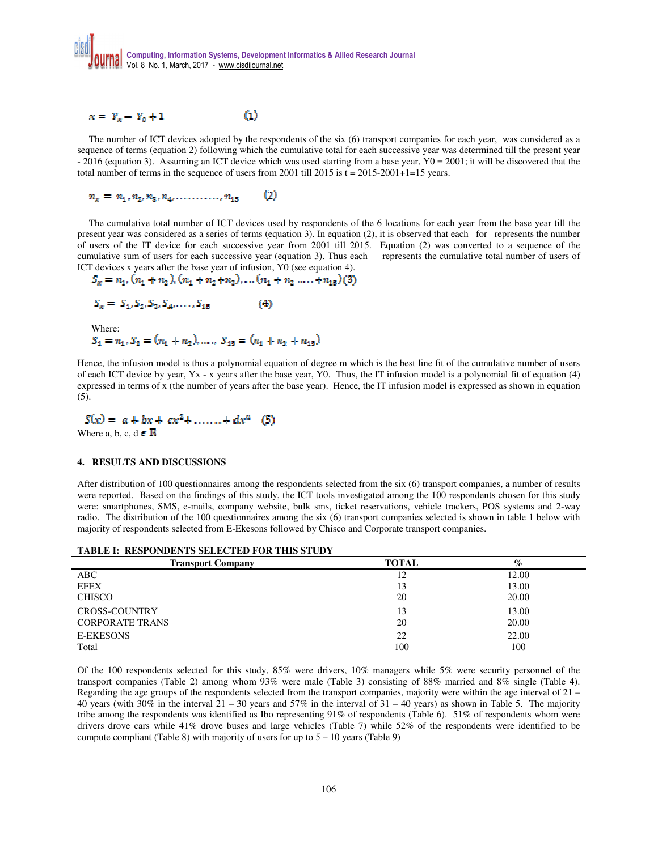

$$
x = Y_x - Y_0 + 1 \tag{1}
$$

The number of ICT devices adopted by the respondents of the six (6) transport companies for each year, was considered as a sequence of terms (equation 2) following which the cumulative total for each successive year was determined till the present year - 2016 (equation 3). Assuming an ICT device which was used starting from a base year, Y0 = 2001; it will be discovered that the total number of terms in the sequence of users from 2001 till 2015 is  $t = 2015-2001+1=15$  years.

#### $n_x = n_1, n_2, n_3, n_4, \ldots, n_{15}$ ω

The cumulative total number of ICT devices used by respondents of the 6 locations for each year from the base year till the present year was considered as a series of terms (equation 3). In equation (2), it is observed that each for represents the number of users of the IT device for each successive year from 2001 till 2015. Equation (2) was converted to a sequence of the cumulative sum of users for each successive year (equation 3). Thus each represents the cumulative total number of users of ICT devices x years after the base year of infusion, Y0 (see equation 4).

$$
S_x = n_1, (n_1 + n_2), (n_1 + n_2 + n_3), \dots (n_1 + n_2, \dots, + n_{15})(3)
$$

$$
S_x = S_1, S_2, S_3, S_4, \dots, S_{15}
$$
 (4)  
Where:  

$$
S_t = n_t, S_2 = (n_t + n_2), \dots, S_{15} = (n_t + n_2 + n_3)
$$

Hence, the infusion model is thus a polynomial equation of degree m which is the best line fit of the cumulative number of users of each ICT device by year, Yx - x years after the base year, Y0. Thus, the IT infusion model is a polynomial fit of equation (4) expressed in terms of x (the number of years after the base year). Hence, the IT infusion model is expressed as shown in equation (5).

ľ

$$
S(x) = a + bx + cx^{2} + \dots + dx^{n}
$$
 (5)  
Where a, b, c, d  $\in \mathbb{R}$ 

#### **4. RESULTS AND DISCUSSIONS**

After distribution of 100 questionnaires among the respondents selected from the six (6) transport companies, a number of results were reported. Based on the findings of this study, the ICT tools investigated among the 100 respondents chosen for this study were: smartphones, SMS, e-mails, company website, bulk sms, ticket reservations, vehicle trackers, POS systems and 2-way radio. The distribution of the 100 questionnaires among the six (6) transport companies selected is shown in table 1 below with majority of respondents selected from E-Ekesons followed by Chisco and Corporate transport companies.

|  |  |  | <b>TABLE I: RESPONDENTS SELECTED FOR THIS STUDY</b> |
|--|--|--|-----------------------------------------------------|
|--|--|--|-----------------------------------------------------|

| <b>Transport Company</b> | <b>TOTAL</b> | $\%$  |
|--------------------------|--------------|-------|
| ABC                      | 12           | 12.00 |
| <b>EFEX</b>              | 13           | 13.00 |
| <b>CHISCO</b>            | 20           | 20.00 |
| <b>CROSS-COUNTRY</b>     | 13           | 13.00 |
| <b>CORPORATE TRANS</b>   | 20           | 20.00 |
| <b>E-EKESONS</b>         | 22           | 22.00 |
| Total                    | 100          | 100   |

Of the 100 respondents selected for this study, 85% were drivers, 10% managers while 5% were security personnel of the transport companies (Table 2) among whom 93% were male (Table 3) consisting of 88% married and 8% single (Table 4). Regarding the age groups of the respondents selected from the transport companies, majority were within the age interval of 21 – 40 years (with  $30\%$  in the interval  $21 - 30$  years and  $57\%$  in the interval of  $31 - 40$  years) as shown in Table 5. The majority tribe among the respondents was identified as Ibo representing 91% of respondents (Table 6). 51% of respondents whom were drivers drove cars while 41% drove buses and large vehicles (Table 7) while 52% of the respondents were identified to be compute compliant (Table 8) with majority of users for up to  $5 - 10$  years (Table 9)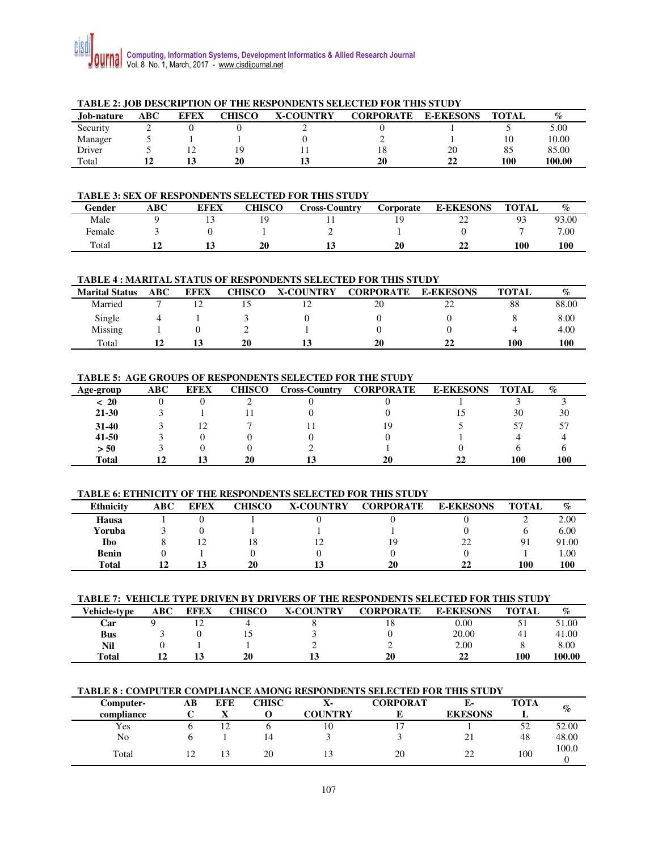

|            | TADLE 2; JOD DESCRIFTION OF THE RESPONDENTS SELECTED FOR THIS STOD I |             |        |                  |                  |                  |              |        |  |  |  |  |  |  |
|------------|----------------------------------------------------------------------|-------------|--------|------------------|------------------|------------------|--------------|--------|--|--|--|--|--|--|
| Job-nature | ABC                                                                  | <b>EFEX</b> | CHISCO | <b>X-COUNTRY</b> | <b>CORPORATE</b> | <b>E-EKESONS</b> | <b>TOTAL</b> | $\%$   |  |  |  |  |  |  |
| Security   | ∼                                                                    |             |        |                  |                  |                  |              | 5.00   |  |  |  |  |  |  |
| Manager    |                                                                      |             |        |                  |                  |                  | 10           | 10.00  |  |  |  |  |  |  |
| Driver     |                                                                      |             |        |                  |                  | 20               | 85           | 85.00  |  |  |  |  |  |  |
| Total      |                                                                      |             | 20     |                  | 20               |                  | 100          | 100.00 |  |  |  |  |  |  |

# **TABLE 2: JOB DESCRIPTION OF THE RESPONDENTS SELECTED FOR THIS STUDY**

### **TABLE 3: SEX OF RESPONDENTS SELECTED FOR THIS STUDY**

| Gender | ABC- | <b>EFEX</b> | CHISCO | Cross-Country | Corporate | <b>E-EKESONS</b> | <b>TOTAL</b> | $\%$  |
|--------|------|-------------|--------|---------------|-----------|------------------|--------------|-------|
| Male   |      |             | ч      |               |           | $\sim$<br>∸      | Q٩<br>ر .    | 93.00 |
| Female |      |             |        |               |           |                  |              | 7.00  |
| Total  |      |             | 20     |               | 20        | 44               | 100          | 100   |

#### **TABLE 4 : MARITAL STATUS OF RESPONDENTS SELECTED FOR THIS STUDY**

| <b>Marital Status</b> | ABC | <b>EFEX</b> | <b>CHISCO</b> | <b>X-COUNTRY</b> | <b>CORPORATE</b> | <b>E-EKESONS</b> | <b>TOTAL</b> | $\%$  |
|-----------------------|-----|-------------|---------------|------------------|------------------|------------------|--------------|-------|
| Married               |     |             |               |                  | 20               | $\cap$           | 88           | 88.00 |
| Single                |     |             |               |                  |                  |                  |              | 8.00  |
| Missing               |     |             |               |                  |                  |                  |              | 4.00  |
| Total                 |     |             | 20            |                  | 20               | າາ               | 100          | 100   |

## **TABLE 5: AGE GROUPS OF RESPONDENTS SELECTED FOR THE STUDY**

| Age-group | ABC | <b>EFEX</b> | CHISCO | Cross-Country | <b>CORPORATE</b> | <b>E-EKESONS</b> | <b>TOTAL</b> | $\%$ |
|-----------|-----|-------------|--------|---------------|------------------|------------------|--------------|------|
| ~<~20     |     |             |        |               |                  |                  |              |      |
| $21 - 30$ |     |             |        |               |                  |                  | 30           | 30   |
| 31-40     |     |             |        |               | 9                |                  |              |      |
| $41 - 50$ |     |             |        |               |                  |                  |              |      |
| > 50      |     |             |        |               |                  |                  |              |      |
| Total     |     |             | 20     |               | 20               | 22               | 100          | 100  |

#### **TABLE 6: ETHNICITY OF THE RESPONDENTS SELECTED FOR THIS STUDY**

| <b>Ethnicity</b> | ABC | <b>EFEX</b> | <b>CHISCO</b> | <b>X-COUNTRY</b> | <b>CORPORATE</b> | <b>E-EKESONS</b> | <b>TOTAL</b> | $\%$  |
|------------------|-----|-------------|---------------|------------------|------------------|------------------|--------------|-------|
| Hausa            |     |             |               |                  |                  |                  |              | 2.00  |
| Yoruba           |     |             |               |                  |                  |                  |              | 6.00  |
| <b>Ibo</b>       |     |             | 18            |                  |                  | າາ               | 91           | 91.00 |
| <b>Benin</b>     |     |             |               |                  |                  |                  |              | 00.   |
| <b>Total</b>     |     |             | 20            |                  | 20               | 22               | 100          | 100   |

#### **TABLE 7: VEHICLE TYPE DRIVEN BY DRIVERS OF THE RESPONDENTS SELECTED FOR THIS STUDY**

| Vehicle-type | ABC | <b>EFEX</b> | <b>CHISCO</b> | <b>X-COUNTRY</b> | <b>CORPORATE</b> | <b>E-EKESONS</b> | <b>TOTAL</b> | $\%$   |
|--------------|-----|-------------|---------------|------------------|------------------|------------------|--------------|--------|
| Car          |     |             |               |                  | 18               | 0.00             |              | 51.00  |
| <b>Bus</b>   |     |             |               |                  |                  | 20.00            | 41           | 41.00  |
| Nil          |     |             |               |                  |                  | 2.00             |              | 8.00   |
| <b>Total</b> |     |             | 20            |                  | 20               | າາ               | 100          | 100.00 |

# **TABLE 8 : COMPUTER COMPLIANCE AMONG RESPONDENTS SELECTED FOR THIS STUDY**

| Computer-  | AВ | <b>EFE</b>           | CHISC | $\mathbf{A}$ - | <b>CORPORAT</b> | Е-             | <b>TOTA</b> | $\%$  |
|------------|----|----------------------|-------|----------------|-----------------|----------------|-------------|-------|
| compliance |    |                      |       | <b>COUNTRY</b> |                 | <b>EKESONS</b> |             |       |
| Yes        |    | 12<br>$\overline{ }$ |       | 10             | $\overline{ }$  |                | 52          | 52.00 |
| No         |    |                      | 14    |                |                 | ້⊥             | 48          | 48.00 |
| Total      |    | 13                   | 20    |                | 20              | າາ<br>∸        | 100         | 100.0 |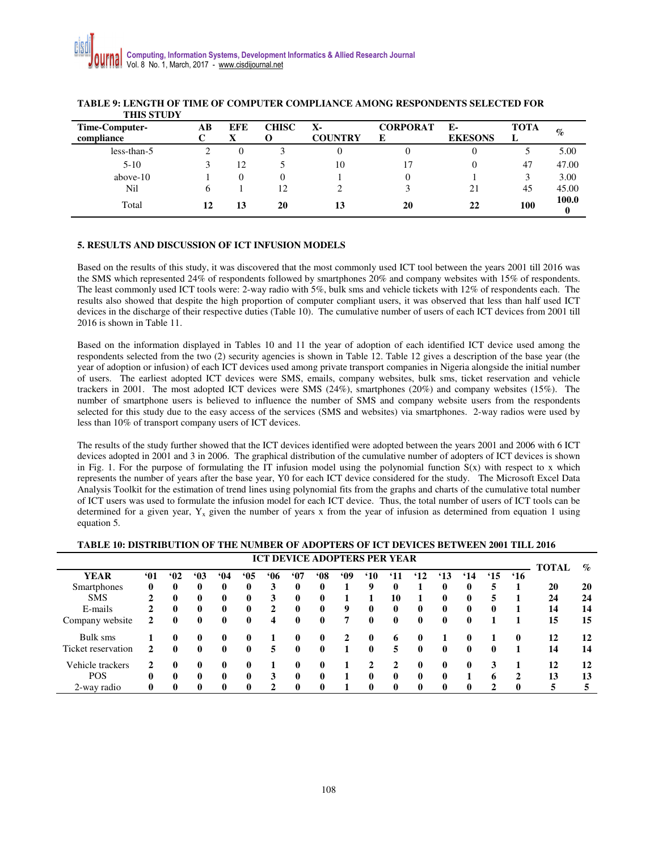| Time-Computer-<br>compliance | AВ | <b>EFE</b><br>X | <b>CHISC</b><br>O | $\mathbf{X}$<br><b>COUNTRY</b> | <b>CORPORAT</b><br>E | Е-<br><b>EKESONS</b> | <b>TOTA</b><br>L | $\%$  |
|------------------------------|----|-----------------|-------------------|--------------------------------|----------------------|----------------------|------------------|-------|
| less-than-5                  |    | $\theta$        |                   |                                |                      | 0                    |                  | 5.00  |
| $5 - 10$                     |    | 12              |                   | 10                             | 17                   | 0                    | 47               | 47.00 |
| above- $10$                  |    | 0               | $\theta$          |                                |                      |                      | 3                | 3.00  |
| Nil                          | h  |                 | 12                |                                |                      | 21                   | 45               | 45.00 |
| Total                        | 12 | 13              | 20                |                                | 20                   | 22                   | 100              | 100.0 |

#### **TABLE 9: LENGTH OF TIME OF COMPUTER COMPLIANCE AMONG RESPONDENTS SELECTED FOR THIS STUDY**

# **5. RESULTS AND DISCUSSION OF ICT INFUSION MODELS**

Based on the results of this study, it was discovered that the most commonly used ICT tool between the years 2001 till 2016 was the SMS which represented 24% of respondents followed by smartphones 20% and company websites with 15% of respondents. The least commonly used ICT tools were: 2-way radio with 5%, bulk sms and vehicle tickets with 12% of respondents each. The results also showed that despite the high proportion of computer compliant users, it was observed that less than half used ICT devices in the discharge of their respective duties (Table 10). The cumulative number of users of each ICT devices from 2001 till 2016 is shown in Table 11.

Based on the information displayed in Tables 10 and 11 the year of adoption of each identified ICT device used among the respondents selected from the two (2) security agencies is shown in Table 12. Table 12 gives a description of the base year (the year of adoption or infusion) of each ICT devices used among private transport companies in Nigeria alongside the initial number of users. The earliest adopted ICT devices were SMS, emails, company websites, bulk sms, ticket reservation and vehicle trackers in 2001. The most adopted ICT devices were SMS (24%), smartphones (20%) and company websites (15%). The number of smartphone users is believed to influence the number of SMS and company website users from the respondents selected for this study due to the easy access of the services (SMS and websites) via smartphones. 2-way radios were used by less than 10% of transport company users of ICT devices.

The results of the study further showed that the ICT devices identified were adopted between the years 2001 and 2006 with 6 ICT devices adopted in 2001 and 3 in 2006. The graphical distribution of the cumulative number of adopters of ICT devices is shown in Fig. 1. For the purpose of formulating the IT infusion model using the polynomial function  $S(x)$  with respect to x which represents the number of years after the base year, Y0 for each ICT device considered for the study. The Microsoft Excel Data Analysis Toolkit for the estimation of trend lines using polynomial fits from the graphs and charts of the cumulative total number of ICT users was used to formulate the infusion model for each ICT device. Thus, the total number of users of ICT tools can be determined for a given year,  $Y_x$  given the number of years x from the year of infusion as determined from equation 1 using equation 5.

### **TABLE 10: DISTRIBUTION OF THE NUMBER OF ADOPTERS OF ICT DEVICES BETWEEN 2001 TILL 2016**

| <b>ICT DEVICE ADOPTERS PER YEAR</b> |          |              |              |          |              |              |              |            |           |                |                 |              |              | <b>TOTAL</b> | $\mathcal{G}_{\mathcal{O}}$ |             |    |    |
|-------------------------------------|----------|--------------|--------------|----------|--------------|--------------|--------------|------------|-----------|----------------|-----------------|--------------|--------------|--------------|-----------------------------|-------------|----|----|
| YEAR                                | <b>M</b> | 62           | 63           | 64       | 65           | <b>M6</b>    | <b>MO</b>    | <b>MO8</b> | <b>MO</b> | <sup>'10</sup> | <sup>'</sup> 11 | $^{\circ}12$ | $^4$ 13      | $^{\circ}14$ | $^{\circ}15$                | <b>'16</b>  |    |    |
| Smartphones                         | 0        | $\mathbf{0}$ | 0            | 0        | $\mathbf{0}$ | 3            |              | 0          |           | 9              | 0               |              | 0            | 0            | 5                           |             | 20 | 20 |
| <b>SMS</b>                          | 2        | $\mathbf{0}$ | 0            |          | $\mathbf{0}$ | 3            |              | 0          |           |                | 10              |              | $\mathbf{0}$ | 0            | 5                           |             | 24 | 24 |
| E-mails                             |          | $\mathbf{0}$ | $\mathbf{0}$ | 0        | $\mathbf{0}$ | $\mathbf{2}$ |              | $\bf{0}$   | 9         | 0              | 0               | $\bf{0}$     | $\mathbf{0}$ | 0            | 0                           |             | 14 | 14 |
| Company website                     | 2        | $\mathbf{0}$ | $\mathbf{0}$ | $\bf{0}$ | $\mathbf{0}$ | 4            | $\mathbf{0}$ | $\bf{0}$   | 7         | $\mathbf{0}$   | $\mathbf{0}$    | $\mathbf{0}$ | $\mathbf{0}$ | $\bf{0}$     |                             |             | 15 | 15 |
| Bulk sms                            |          | $\mathbf{0}$ | 0            | 0        | $\mathbf{0}$ |              |              | 0          |           | 0              | 6               | 0            |              |              |                             | $\mathbf 0$ | 12 | 12 |
| Ticket reservation                  |          | $\mathbf{0}$ | 0            | $\bf{0}$ | $\mathbf{0}$ | 5            | 0            | 0          |           | 0              | 5               | $\bf{0}$     | $\mathbf{0}$ | 0            | 0                           |             | 14 | 14 |
| Vehicle trackers                    |          | $\mathbf{0}$ | 0            |          | 0            |              |              | 0          |           |                |                 | 0            | 0            | 0            | 3                           |             | 12 | 12 |
| <b>POS</b>                          | 0        | $\mathbf{0}$ | 0            | 0        | $\mathbf{0}$ | 3            |              | 0          |           | 0              | 0               | $\bf{0}$     | $\mathbf{0}$ |              | 6                           | 2           | 13 | 13 |
| 2-way radio                         | 0        | 0            | 0            | 0        | $\mathbf 0$  | 2            |              | 0          |           | 0              | 0               | $\bf{0}$     | $\mathbf{0}$ | 0            |                             | 0           |    |    |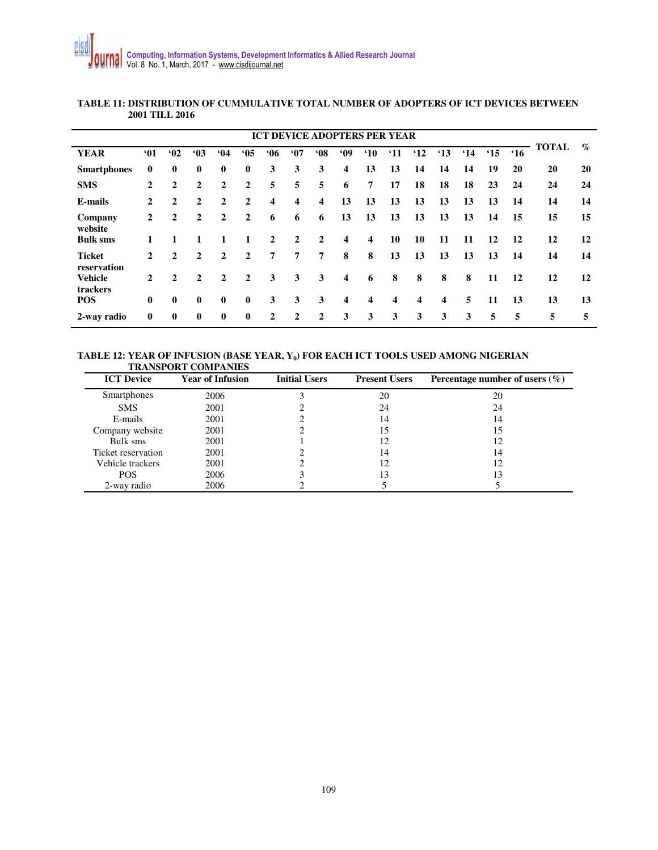| <b>ICT DEVICE ADOPTERS PER YEAR</b> |              |                |              |              |              |              |                |              |                         |                         |                 |                         |         |         |              |         |              |                 |
|-------------------------------------|--------------|----------------|--------------|--------------|--------------|--------------|----------------|--------------|-------------------------|-------------------------|-----------------|-------------------------|---------|---------|--------------|---------|--------------|-----------------|
| <b>YEAR</b>                         | <b>'01</b>   | 62             | 63           | 64           | 65           | 66           | 67             | 68           | .09                     | $^{\circ}10$            | <sup>'</sup> 11 | $^4$ 12                 | $^4$ 13 | $^4$ 14 | $^{\circ}15$ | $^4$ 16 | <b>TOTAL</b> | $\mathcal{O}_0$ |
| <b>Smartphones</b>                  | $\mathbf{0}$ | $\mathbf{0}$   | $\mathbf{0}$ | $\mathbf{0}$ | $\mathbf{0}$ | 3            | 3              | 3            | $\overline{\mathbf{4}}$ | 13                      | 13              | 14                      | 14      | 14      | 19           | 20      | 20           | 20              |
| <b>SMS</b>                          | $\mathbf{2}$ | $\overline{2}$ | 2            | $\mathbf{2}$ | $\mathbf{2}$ | 5            | 5              | 5            | 6                       | 7                       | 17              | 18                      | 18      | 18      | 23           | 24      | 24           | 24              |
| E-mails                             | 2            | $\mathbf{2}$   | $\mathbf{2}$ | $\mathbf{2}$ | $\mathbf{2}$ | 4            | 4              | 4            | 13                      | 13                      | 13              | 13                      | 13      | 13      | 13           | 14      | 14           | 14              |
| Company<br>website                  | $\mathbf{2}$ | 2              | 2            | $\mathbf{2}$ | 2            | 6            | 6              | 6            | 13                      | 13                      | 13              | 13                      | 13      | 13      | 14           | 15      | 15           | 15              |
| <b>Bulk sms</b>                     | 1            | 1              |              | 1            |              | $\mathbf{2}$ | 2              | $\mathbf{2}$ | 4                       | $\overline{\mathbf{4}}$ | 10              | 10                      | 11      | 11      | 12           | 12      | 12           | 12              |
| <b>Ticket</b><br>reservation        | $\mathbf{2}$ | $\mathbf{2}$   | $\mathbf{2}$ | $\mathbf{2}$ | 2            | 7            | $\overline{7}$ | 7            | 8                       | 8                       | 13              | 13                      | 13      | 13      | 13           | 14      | 14           | 14              |
| <b>Vehicle</b><br>trackers          | $\mathbf{2}$ | $\overline{2}$ | 2            | $\mathbf{2}$ | $\mathbf{2}$ | 3            | 3              | 3            | 4                       | 6                       | 8               | 8                       | 8       | 8       | 11           | 12      | 12           | 12              |
| <b>POS</b>                          | $\mathbf{0}$ | $\bf{0}$       | $\mathbf{0}$ | $\mathbf{0}$ | $\mathbf{0}$ | 3            | 3              | 3            | $\overline{\mathbf{4}}$ | $\overline{\mathbf{4}}$ | 4               | $\overline{\mathbf{4}}$ | 4       | 5       | 11           | 13      | 13           | 13              |
| 2-way radio                         | $\mathbf{0}$ | $\bf{0}$       | $\mathbf{0}$ | $\mathbf{0}$ | $\mathbf{0}$ | $\mathbf 2$  | $\mathbf{2}$   | $\mathbf{2}$ | 3                       | 3                       | 3               | 3                       | 3       | 3       | 5            | 5       | 5            | 5               |

# **TABLE 11: DISTRIBUTION OF CUMMULATIVE TOTAL NUMBER OF ADOPTERS OF ICT DEVICES BETWEEN 2001 TILL 2016**

### **TABLE 12: YEAR OF INFUSION (BASE YEAR, Y<sup>0</sup> ) FOR EACH ICT TOOLS USED AMONG NIGERIAN TRANSPORT COMPANIES**

| <b>ICT Device</b>  | <b>Year of Infusion</b> | <b>Initial Users</b> | <b>Present Users</b> | Percentage number of users $(\% )$ |
|--------------------|-------------------------|----------------------|----------------------|------------------------------------|
| Smartphones        | 2006                    |                      | 20                   | 20                                 |
| <b>SMS</b>         | 2001                    |                      | 24                   | 24                                 |
| E-mails            | 2001                    |                      | 14                   | 14                                 |
| Company website    | 2001                    |                      | 15                   |                                    |
| Bulk sms           | 2001                    |                      | 12                   | 12                                 |
| Ticket reservation | 2001                    |                      | 14                   | 14                                 |
| Vehicle trackers   | 2001                    |                      | 12                   | 12                                 |
| <b>POS</b>         | 2006                    |                      | 13                   | 13                                 |
| 2-way radio        | 2006                    |                      |                      |                                    |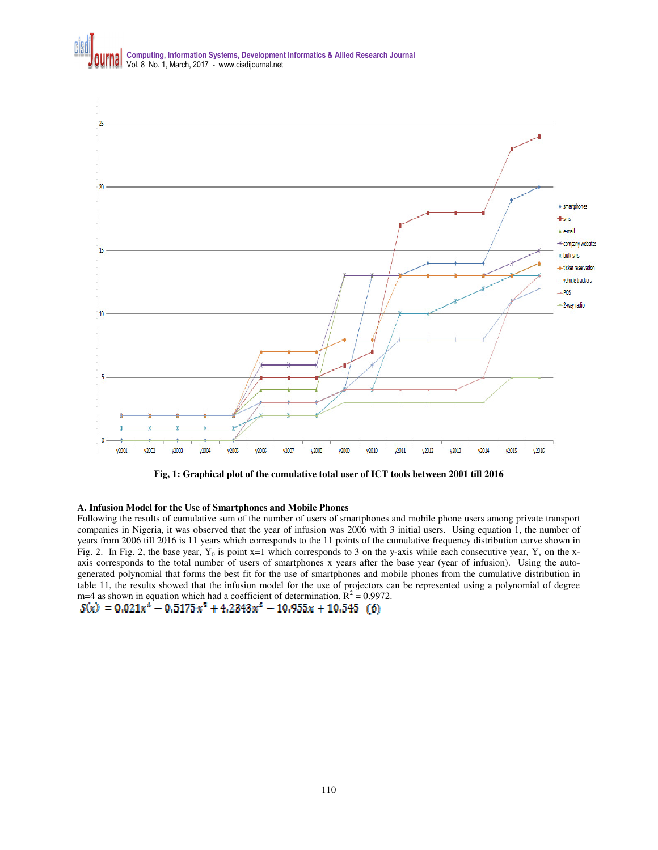

**Fig, 1: Graphical plot of the cumulative total user of ICT tools between 2001 till 2016** 

### **A. Infusion Model for the Use of Smartphones and Mobile Phones**

Following the results of cumulative sum of the number of users of smartphones and mobile phone users among private transport companies in Nigeria, it was observed that the year of infusion was 2006 with 3 initial users. Using equation 1, the number of years from 2006 till 2016 is 11 years which corresponds to the 11 points of the cumulative frequency distribution curve shown in Fig. 2. In Fig. 2, the base year,  $Y_0$  is point x=1 which corresponds to 3 on the y-axis while each consecutive year,  $Y_x$  on the xaxis corresponds to the total number of users of smartphones x years after the base year (year of infusion). Using the autogenerated polynomial that forms the best fit for the use of smartphones and mobile phones from the cumulative distribution in table 11, the results showed that the infusion model for the use of projectors can be represented using a polynomial of degree m=4 as shown in equation which had a coefficient of determination,  $\mathbf{\hat{R}}^2 = 0.9972$ .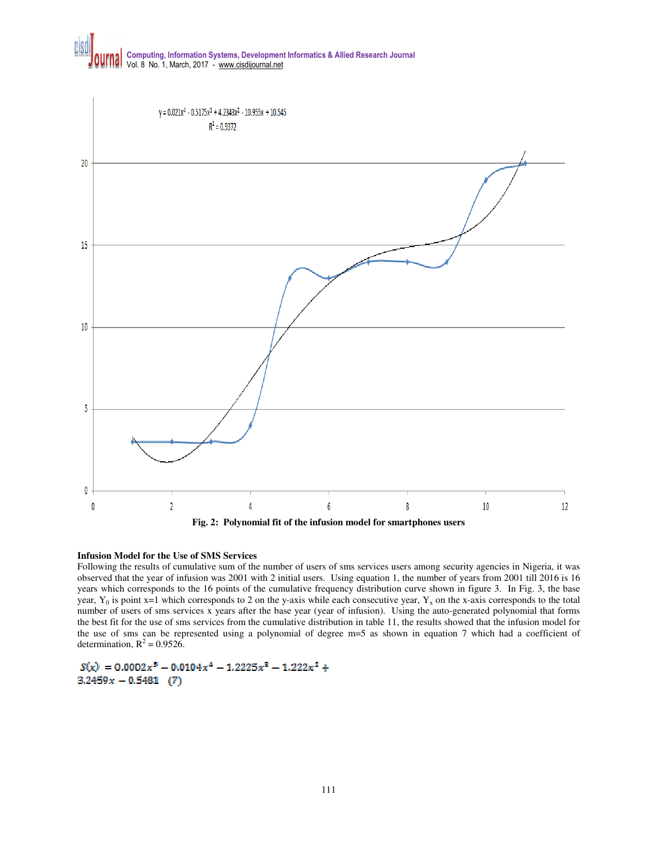



### **Infusion Model for the Use of SMS Services**

Following the results of cumulative sum of the number of users of sms services users among security agencies in Nigeria, it was observed that the year of infusion was 2001 with 2 initial users. Using equation 1, the number of years from 2001 till 2016 is 16 years which corresponds to the 16 points of the cumulative frequency distribution curve shown in figure 3. In Fig. 3, the base year,  $Y_0$  is point x=1 which corresponds to 2 on the y-axis while each consecutive year,  $Y_x$  on the x-axis corresponds to the total number of users of sms services x years after the base year (year of infusion). Using the auto-generated polynomial that forms the best fit for the use of sms services from the cumulative distribution in table 11, the results showed that the infusion model for the use of sms can be represented using a polynomial of degree m=5 as shown in equation 7 which had a coefficient of determination,  $R^2 = 0.9526$ .

 $S(x) = 0.0002x^5 - 0.0104x^4 - 1.2225x^3 - 1.222x^2 +$  $3.2459x - 0.5481$  (7)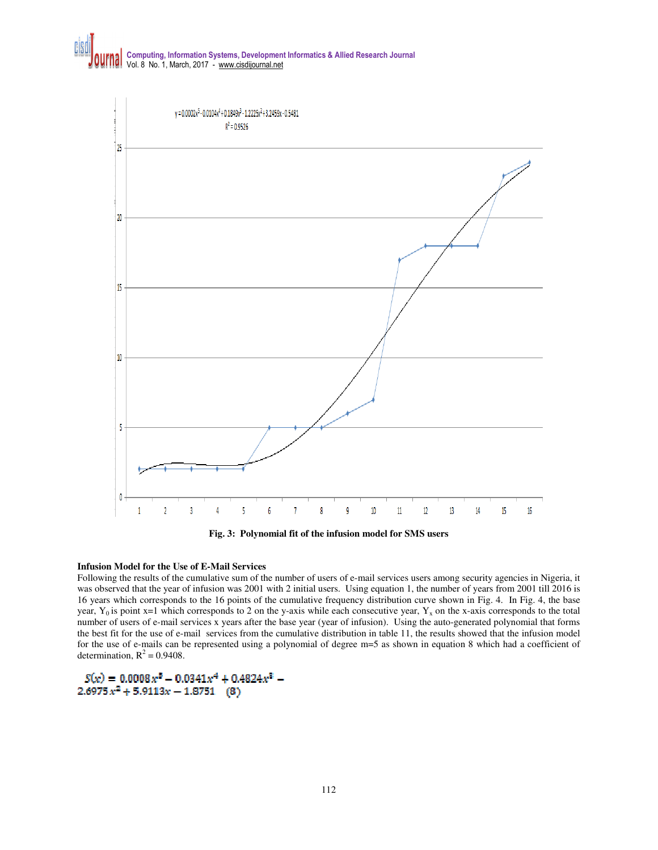

**Fig. 3: Polynomial fit of the infusion model for SMS users** 

### **Infusion Model for the Use of E-Mail Services**

Following the results of the cumulative sum of the number of users of e-mail services users among security agencies in Nigeria, it was observed that the year of infusion was 2001 with 2 initial users. Using equation 1, the number of years from 2001 till 2016 is 16 years which corresponds to the 16 points of the cumulative frequency distribution curve shown in Fig. 4. In Fig. 4, the base year,  $Y_0$  is point x=1 which corresponds to 2 on the y-axis while each consecutive year,  $Y_x$  on the x-axis corresponds to the total number of users of e-mail services x years after the base year (year of infusion). Using the auto-generated polynomial that forms the best fit for the use of e-mail services from the cumulative distribution in table 11, the results showed that the infusion model for the use of e-mails can be represented using a polynomial of degree m=5 as shown in equation 8 which had a coefficient of determination,  $R^2 = 0.9408$ .

 $S(x) = 0.0008x^{5} - 0.0341x^{4} + 0.4824x^{3} 2.6975x^2 + 5.9113x - 1.8751$  (8)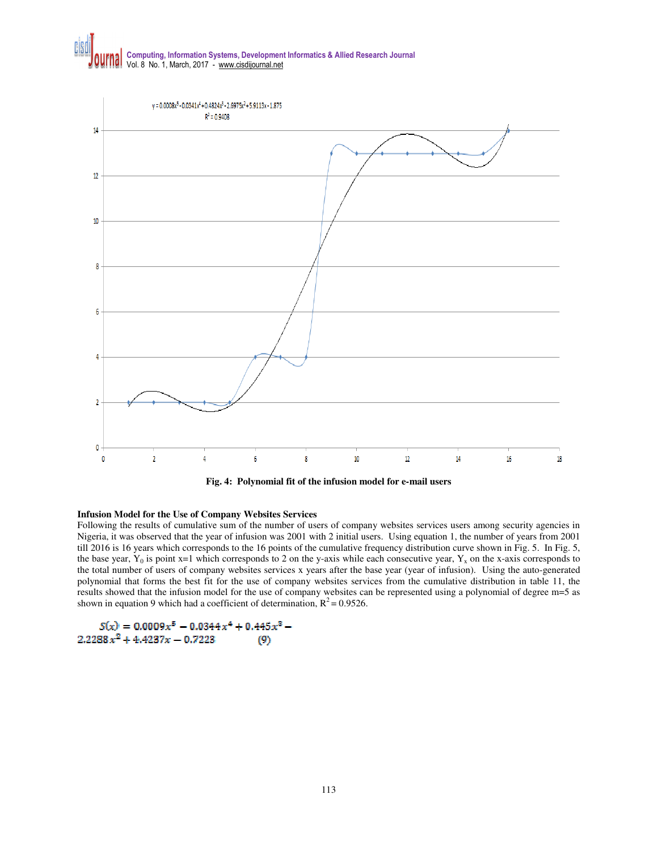

**Fig. 4: Polynomial fit of the infusion model for e-mail users** 

### **Infusion Model for the Use of Company Websites Services**

Following the results of cumulative sum of the number of users of company websites services users among security agencies in Nigeria, it was observed that the year of infusion was 2001 with 2 initial users. Using equation 1, the number of years from 2001 till 2016 is 16 years which corresponds to the 16 points of the cumulative frequency distribution curve shown in Fig. 5. In Fig. 5, the base year,  $Y_0$  is point x=1 which corresponds to 2 on the y-axis while each consecutive year,  $Y_x$  on the x-axis corresponds to the total number of users of company websites services x years after the base year (year of infusion). Using the auto-generated polynomial that forms the best fit for the use of company websites services from the cumulative distribution in table 11, the results showed that the infusion model for the use of company websites can be represented using a polynomial of degree m=5 as shown in equation 9 which had a coefficient of determination,  $R^2 = 0.9526$ .

$$
S(x) = 0.0009x5 - 0.0344x4 + 0.445x3 - 2.2288x2 + 4.4237x - 0.7223
$$
 (9)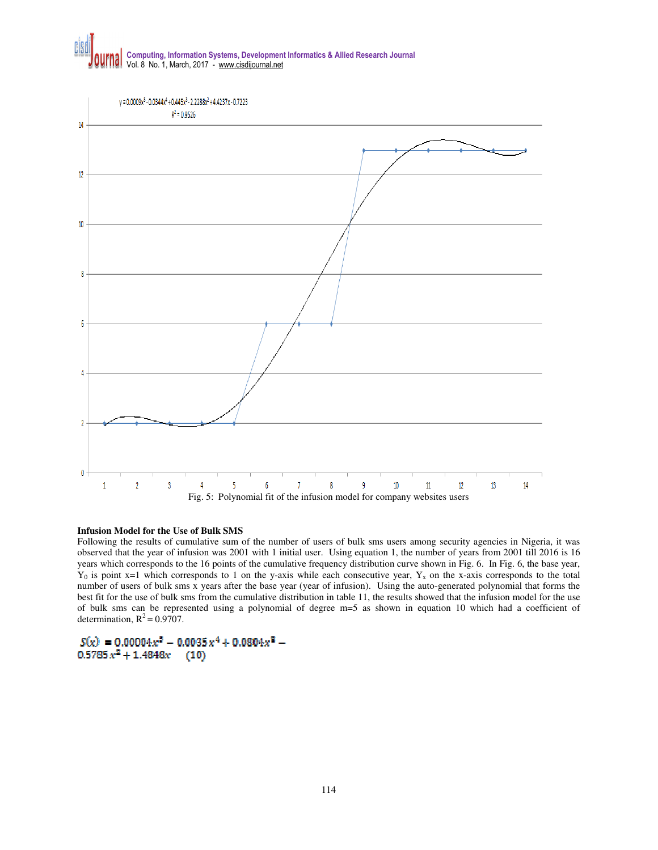

#### **Infusion Model for the Use of Bulk SMS**

Following the results of cumulative sum of the number of users of bulk sms users among security agencies in Nigeria, it was observed that the year of infusion was 2001 with 1 initial user. Using equation 1, the number of years from 2001 till 2016 is 16 years which corresponds to the 16 points of the cumulative frequency distribution curve shown in Fig. 6. In Fig. 6, the base year,  $Y_0$  is point x=1 which corresponds to 1 on the y-axis while each consecutive year,  $Y_x$  on the x-axis corresponds to the total number of users of bulk sms x years after the base year (year of infusion). Using the auto-generated polynomial that forms the best fit for the use of bulk sms from the cumulative distribution in table 11, the results showed that the infusion model for the use of bulk sms can be represented using a polynomial of degree m=5 as shown in equation 10 which had a coefficient of determination,  $R^2 = 0.9707$ .

 $S(x) = 0.00004x^5 - 0.0035x^4 + 0.0804x^3 0.5785 x^2 + 1.4848x$  $(10)$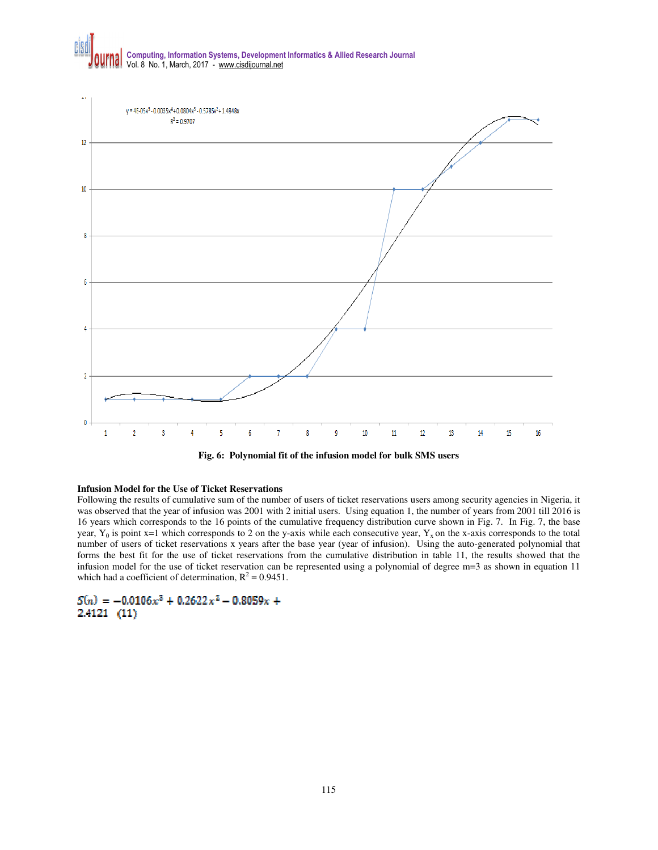

**Fig. 6: Polynomial fit of the infusion model for bulk SMS users** 

#### **Infusion Model for the Use of Ticket Reservations**

Following the results of cumulative sum of the number of users of ticket reservations users among security agencies in Nigeria, it was observed that the year of infusion was 2001 with 2 initial users. Using equation 1, the number of years from 2001 till 2016 is 16 years which corresponds to the 16 points of the cumulative frequency distribution curve shown in Fig. 7. In Fig. 7, the base year,  $Y_0$  is point x=1 which corresponds to 2 on the y-axis while each consecutive year,  $Y_x$  on the x-axis corresponds to the total number of users of ticket reservations x years after the base year (year of infusion). Using the auto-generated polynomial that forms the best fit for the use of ticket reservations from the cumulative distribution in table 11, the results showed that the infusion model for the use of ticket reservation can be represented using a polynomial of degree m=3 as shown in equation 11 which had a coefficient of determination,  $R^2 = 0.9451$ .

 $S(n) = -0.0106x^{3} + 0.2622x^{2} - 0.8059x +$ 2.4121 (11)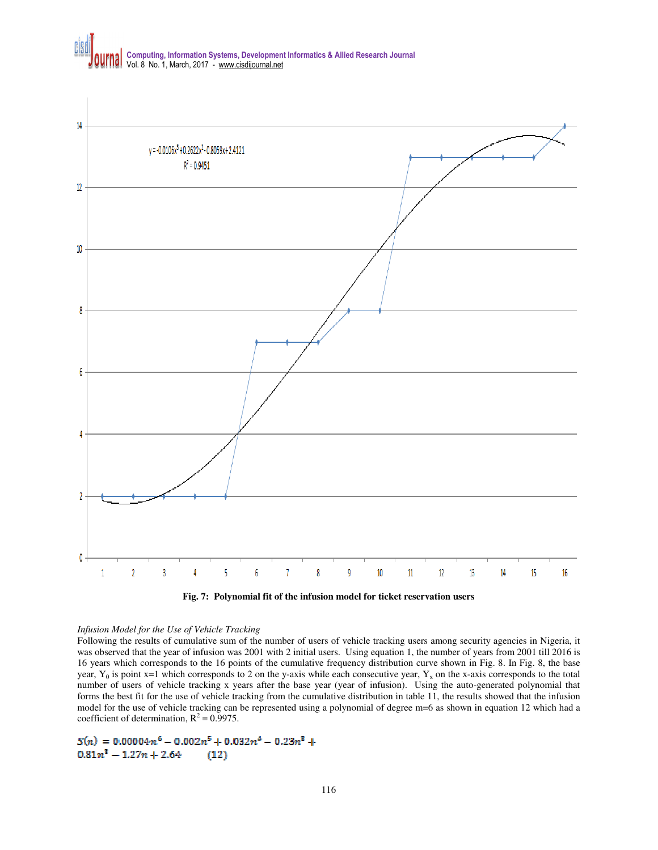

# *Infusion Model for the Use of Vehicle Tracking*

Following the results of cumulative sum of the number of users of vehicle tracking users among security agencies in Nigeria, it was observed that the year of infusion was 2001 with 2 initial users. Using equation 1, the number of years from 2001 till 2016 is 16 years which corresponds to the 16 points of the cumulative frequency distribution curve shown in Fig. 8. In Fig. 8, the base year,  $Y_0$  is point x=1 which corresponds to 2 on the y-axis while each consecutive year,  $Y_x$  on the x-axis corresponds to the total number of users of vehicle tracking x years after the base year (year of infusion). Using the auto-generated polynomial that forms the best fit for the use of vehicle tracking from the cumulative distribution in table 11, the results showed that the infusion model for the use of vehicle tracking can be represented using a polynomial of degree m=6 as shown in equation 12 which had a coefficient of determination,  $R^2 = 0.9975$ .

#### $S(n) = 0.00004n^6 - 0.002n^5 + 0.032n^4 - 0.23n^3 +$  $0.81n^2 - 1.27n + 2.64$  $(12)$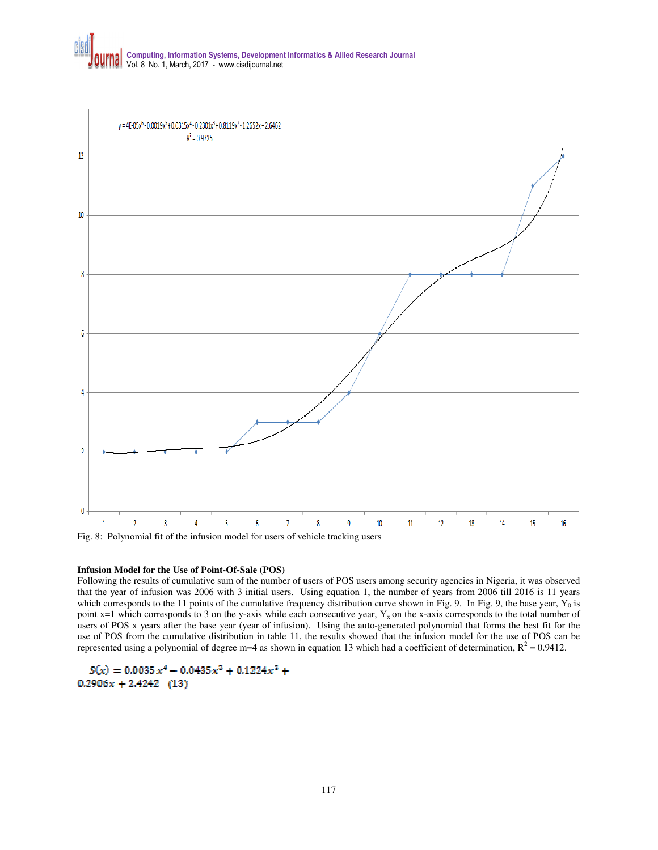

### **Infusion Model for the Use of Point-Of-Sale (POS)**

Following the results of cumulative sum of the number of users of POS users among security agencies in Nigeria, it was observed that the year of infusion was 2006 with 3 initial users. Using equation 1, the number of years from 2006 till 2016 is 11 years which corresponds to the 11 points of the cumulative frequency distribution curve shown in Fig. 9. In Fig. 9, the base year,  $Y_0$  is point  $x=1$  which corresponds to 3 on the y-axis while each consecutive year,  $Y_x$  on the x-axis corresponds to the total number of users of POS x years after the base year (year of infusion). Using the auto-generated polynomial that forms the best fit for the use of POS from the cumulative distribution in table 11, the results showed that the infusion model for the use of POS can be represented using a polynomial of degree m=4 as shown in equation 13 which had a coefficient of determination,  $R^2 = 0.9412$ .

 $S(x) = 0.0035x^4 - 0.0435x^3 + 0.1224x^3 +$  $0.2906x + 2.4242$  (13)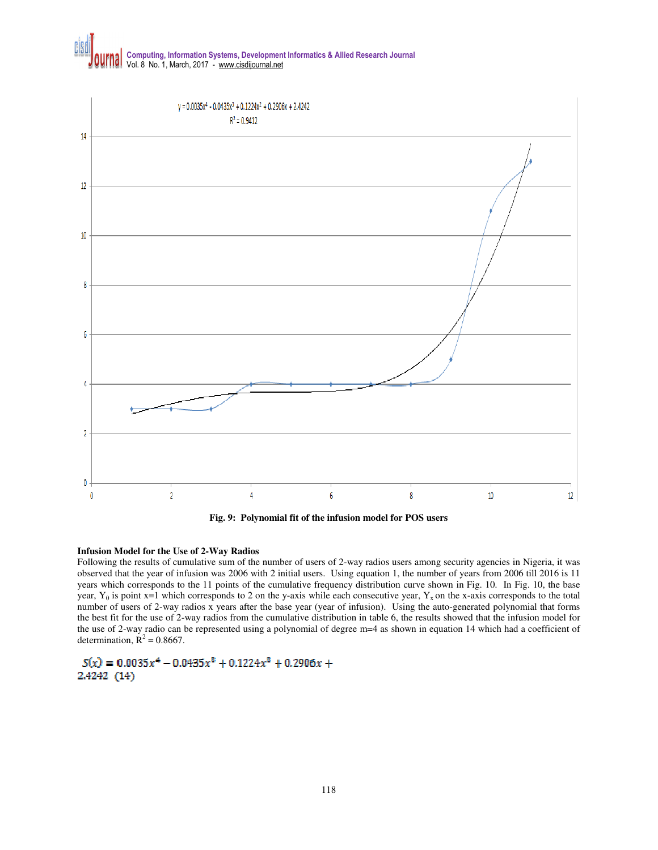

**Fig. 9: Polynomial fit of the infusion model for POS users** 

#### **Infusion Model for the Use of 2-Way Radios**

Following the results of cumulative sum of the number of users of 2-way radios users among security agencies in Nigeria, it was observed that the year of infusion was 2006 with 2 initial users. Using equation 1, the number of years from 2006 till 2016 is 11 years which corresponds to the 11 points of the cumulative frequency distribution curve shown in Fig. 10. In Fig. 10, the base year,  $Y_0$  is point x=1 which corresponds to 2 on the y-axis while each consecutive year,  $Y_x$  on the x-axis corresponds to the total number of users of 2-way radios x years after the base year (year of infusion). Using the auto-generated polynomial that forms the best fit for the use of 2-way radios from the cumulative distribution in table 6, the results showed that the infusion model for the use of 2-way radio can be represented using a polynomial of degree m=4 as shown in equation 14 which had a coefficient of determination,  $\mathbf{R}^2 = 0.8667$ .

 $S(x) = 0.0035x^4 - 0.0435x^3 + 0.1224x^3 + 0.2906x +$ 2.4242 (14)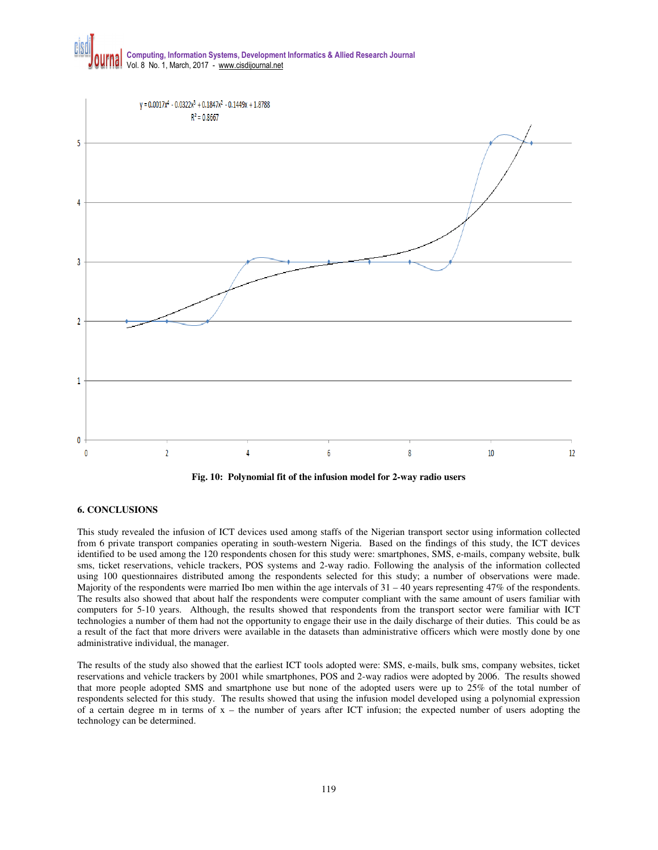

**Fig. 10: Polynomial fit of the infusion model for 2-way radio users** 

### **6. CONCLUSIONS**

This study revealed the infusion of ICT devices used among staffs of the Nigerian transport sector using information collected from 6 private transport companies operating in south-western Nigeria. Based on the findings of this study, the ICT devices identified to be used among the 120 respondents chosen for this study were: smartphones, SMS, e-mails, company website, bulk sms, ticket reservations, vehicle trackers, POS systems and 2-way radio. Following the analysis of the information collected using 100 questionnaires distributed among the respondents selected for this study; a number of observations were made. Majority of the respondents were married Ibo men within the age intervals of  $31 - 40$  years representing  $47\%$  of the respondents. The results also showed that about half the respondents were computer compliant with the same amount of users familiar with computers for 5-10 years. Although, the results showed that respondents from the transport sector were familiar with ICT technologies a number of them had not the opportunity to engage their use in the daily discharge of their duties. This could be as a result of the fact that more drivers were available in the datasets than administrative officers which were mostly done by one administrative individual, the manager.

The results of the study also showed that the earliest ICT tools adopted were: SMS, e-mails, bulk sms, company websites, ticket reservations and vehicle trackers by 2001 while smartphones, POS and 2-way radios were adopted by 2006. The results showed that more people adopted SMS and smartphone use but none of the adopted users were up to 25% of the total number of respondents selected for this study. The results showed that using the infusion model developed using a polynomial expression of a certain degree m in terms of  $x -$  the number of years after ICT infusion; the expected number of users adopting the technology can be determined.